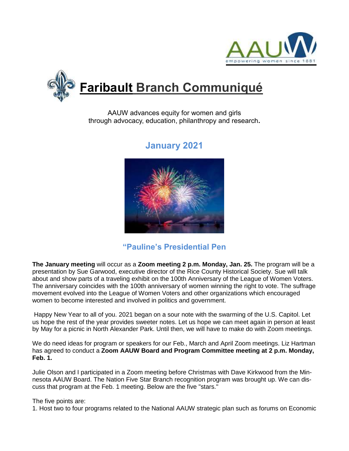



AAUW advances equity for women and girls through advocacy, education, philanthropy and research**.**

# **January 2021**

## **"Pauline's Presidential Pen**

**The January meeting** will occur as a **Zoom meeting 2 p.m. Monday, Jan. 25.** The program will be a presentation by Sue Garwood, executive director of the Rice County Historical Society. Sue will talk about and show parts of a traveling exhibit on the 100th Anniversary of the League of Women Voters. The anniversary coincides with the 100th anniversary of women winning the right to vote. The suffrage movement evolved into the League of Women Voters and other organizations which encouraged women to become interested and involved in politics and government.

Happy New Year to all of you. 2021 began on a sour note with the swarming of the U.S. Capitol. Let us hope the rest of the year provides sweeter notes. Let us hope we can meet again in person at least by May for a picnic in North Alexander Park. Until then, we will have to make do with Zoom meetings.

We do need ideas for program or speakers for our Feb., March and April Zoom meetings. Liz Hartman has agreed to conduct a **Zoom AAUW Board and Program Committee meeting at 2 p.m. Monday, Feb. 1.**

Julie Olson and I participated in a Zoom meeting before Christmas with Dave Kirkwood from the Minnesota AAUW Board. The Nation Five Star Branch recognition program was brought up. We can discuss that program at the Feb. 1 meeting. Below are the five "stars."

The five points are:

1. Host two to four programs related to the National AAUW strategic plan such as forums on Economic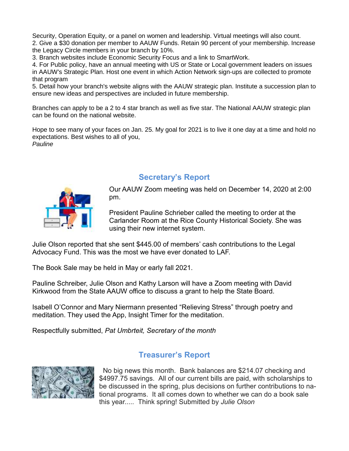Security, Operation Equity, or a panel on women and leadership. Virtual meetings will also count. 2. Give a \$30 donation per member to AAUW Funds. Retain 90 percent of your membership. Increase the Legacy Circle members in your branch by 10%.

3. Branch websites include Economic Security Focus and a link to SmartWork.

4. For Public policy, have an annual meeting with US or State or Local government leaders on issues in AAUW's Strategic Plan. Host one event in which Action Network sign-ups are collected to promote that program

5. Detail how your branch's website aligns with the AAUW strategic plan. Institute a succession plan to ensure new ideas and perspectives are included in future membership.

Branches can apply to be a 2 to 4 star branch as well as five star. The National AAUW strategic plan can be found on the national website.

Hope to see many of your faces on Jan. 25. My goal for 2021 is to live it one day at a time and hold no expectations. Best wishes to all of you, *Pauline*

**Secretary's Report**



Our AAUW Zoom meeting was held on December 14, 2020 at 2:00 pm.

President Pauline Schrieber called the meeting to order at the Carlander Room at the Rice County Historical Society. She was using their new internet system.

Julie Olson reported that she sent \$445.00 of members' cash contributions to the Legal Advocacy Fund. This was the most we have ever donated to LAF.

The Book Sale may be held in May or early fall 2021.

Pauline Schreiber, Julie Olson and Kathy Larson will have a Zoom meeting with David Kirkwood from the State AAUW office to discuss a grant to help the State Board.

Isabell O'Connor and Mary Niermann presented "Relieving Stress" through poetry and meditation. They used the App, Insight Timer for the meditation.

Respectfully submitted, *Pat Umbrteit, Secretary of the month*

### **Treasurer's Report**



 No big news this month. Bank balances are \$214.07 checking and \$4997.75 savings. All of our current bills are paid, with scholarships to be discussed in the spring, plus decisions on further contributions to national programs. It all comes down to whether we can do a book sale this year..... Think spring! Submitted by *Julie Olson*